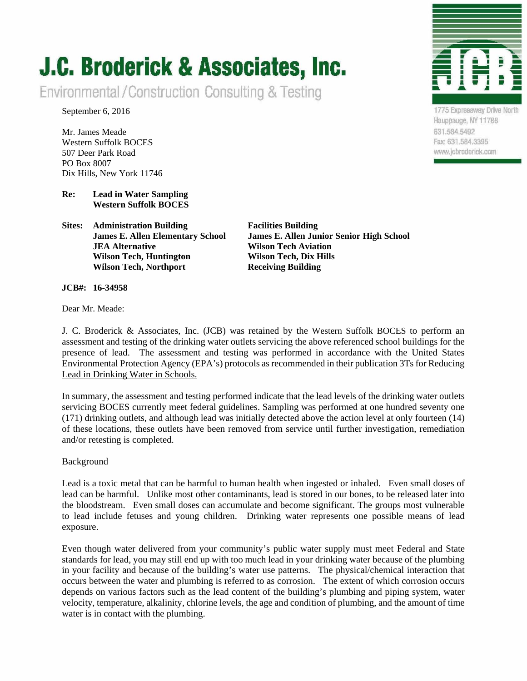# **J.C. Broderick & Associates, Inc.**

Environmental/Construction Consulting & Testing

September 6, 2016

Mr. James Meade Western Suffolk BOCES 507 Deer Park Road PO Box 8007 Dix Hills, New York 11746

# **Re: Lead in Water Sampling Western Suffolk BOCES**

**Sites: Administration Building Facilities Building JEA Alternative Wilson Tech Aviation Wilson Tech, Huntington Wilson Tech, Dix Hills Wilson Tech, Northport Receiving Building** 

 **James E. Allen Elementary School James E. Allen Junior Senior High School** 

**JCB#: 16-34958** 

Dear Mr. Meade:

J. C. Broderick & Associates, Inc. (JCB) was retained by the Western Suffolk BOCES to perform an assessment and testing of the drinking water outlets servicing the above referenced school buildings for the presence of lead. The assessment and testing was performed in accordance with the United States Environmental Protection Agency (EPA's) protocols as recommended in their publication 3Ts for Reducing Lead in Drinking Water in Schools.

In summary, the assessment and testing performed indicate that the lead levels of the drinking water outlets servicing BOCES currently meet federal guidelines. Sampling was performed at one hundred seventy one (171) drinking outlets, and although lead was initially detected above the action level at only fourteen (14) of these locations, these outlets have been removed from service until further investigation, remediation and/or retesting is completed.

# Background

Lead is a toxic metal that can be harmful to human health when ingested or inhaled. Even small doses of lead can be harmful. Unlike most other contaminants, lead is stored in our bones, to be released later into the bloodstream. Even small doses can accumulate and become significant. The groups most vulnerable to lead include fetuses and young children. Drinking water represents one possible means of lead exposure.

Even though water delivered from your community's public water supply must meet Federal and State standards for lead, you may still end up with too much lead in your drinking water because of the plumbing in your facility and because of the building's water use patterns. The physical/chemical interaction that occurs between the water and plumbing is referred to as corrosion. The extent of which corrosion occurs depends on various factors such as the lead content of the building's plumbing and piping system, water velocity, temperature, alkalinity, chlorine levels, the age and condition of plumbing, and the amount of time water is in contact with the plumbing.



1775 Expressway Drive North Hauppauge, NY 11788 631.584.5492 Fax: 631.584.3395 www.jcbroderick.com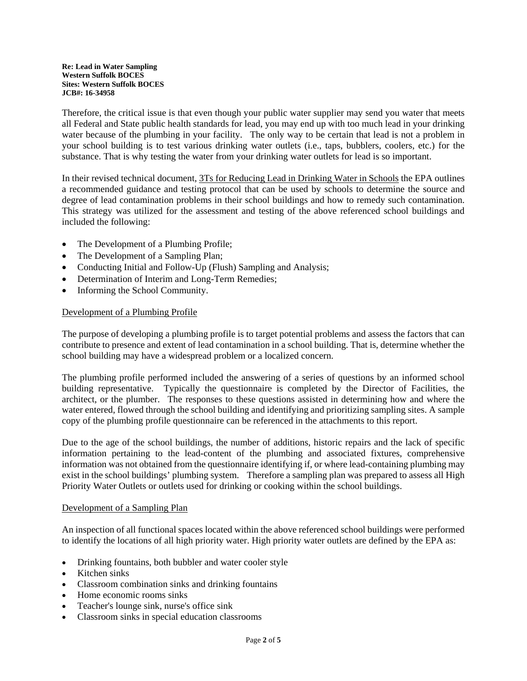Therefore, the critical issue is that even though your public water supplier may send you water that meets all Federal and State public health standards for lead, you may end up with too much lead in your drinking water because of the plumbing in your facility. The only way to be certain that lead is not a problem in your school building is to test various drinking water outlets (i.e., taps, bubblers, coolers, etc.) for the substance. That is why testing the water from your drinking water outlets for lead is so important.

In their revised technical document, 3Ts for Reducing Lead in Drinking Water in Schools the EPA outlines a recommended guidance and testing protocol that can be used by schools to determine the source and degree of lead contamination problems in their school buildings and how to remedy such contamination. This strategy was utilized for the assessment and testing of the above referenced school buildings and included the following:

- The Development of a Plumbing Profile;
- The Development of a Sampling Plan;
- Conducting Initial and Follow-Up (Flush) Sampling and Analysis;
- Determination of Interim and Long-Term Remedies;
- Informing the School Community.

## Development of a Plumbing Profile

The purpose of developing a plumbing profile is to target potential problems and assess the factors that can contribute to presence and extent of lead contamination in a school building. That is, determine whether the school building may have a widespread problem or a localized concern.

The plumbing profile performed included the answering of a series of questions by an informed school building representative. Typically the questionnaire is completed by the Director of Facilities, the architect, or the plumber. The responses to these questions assisted in determining how and where the water entered, flowed through the school building and identifying and prioritizing sampling sites. A sample copy of the plumbing profile questionnaire can be referenced in the attachments to this report.

Due to the age of the school buildings, the number of additions, historic repairs and the lack of specific information pertaining to the lead-content of the plumbing and associated fixtures, comprehensive information was not obtained from the questionnaire identifying if, or where lead-containing plumbing may exist in the school buildings' plumbing system. Therefore a sampling plan was prepared to assess all High Priority Water Outlets or outlets used for drinking or cooking within the school buildings.

#### Development of a Sampling Plan

An inspection of all functional spaces located within the above referenced school buildings were performed to identify the locations of all high priority water. High priority water outlets are defined by the EPA as:

- Drinking fountains, both bubbler and water cooler style
- Kitchen sinks
- Classroom combination sinks and drinking fountains
- Home economic rooms sinks
- Teacher's lounge sink, nurse's office sink
- Classroom sinks in special education classrooms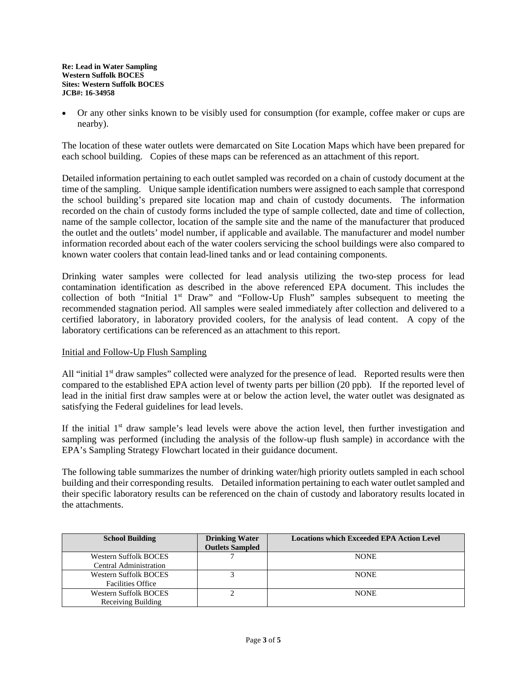Or any other sinks known to be visibly used for consumption (for example, coffee maker or cups are nearby).

The location of these water outlets were demarcated on Site Location Maps which have been prepared for each school building. Copies of these maps can be referenced as an attachment of this report.

Detailed information pertaining to each outlet sampled was recorded on a chain of custody document at the time of the sampling. Unique sample identification numbers were assigned to each sample that correspond the school building's prepared site location map and chain of custody documents. The information recorded on the chain of custody forms included the type of sample collected, date and time of collection, name of the sample collector, location of the sample site and the name of the manufacturer that produced the outlet and the outlets' model number, if applicable and available. The manufacturer and model number information recorded about each of the water coolers servicing the school buildings were also compared to known water coolers that contain lead-lined tanks and or lead containing components.

Drinking water samples were collected for lead analysis utilizing the two-step process for lead contamination identification as described in the above referenced EPA document. This includes the collection of both "Initial 1<sup>st</sup> Draw" and "Follow-Up Flush" samples subsequent to meeting the recommended stagnation period. All samples were sealed immediately after collection and delivered to a certified laboratory, in laboratory provided coolers, for the analysis of lead content. A copy of the laboratory certifications can be referenced as an attachment to this report.

# Initial and Follow-Up Flush Sampling

All "initial 1<sup>st</sup> draw samples" collected were analyzed for the presence of lead. Reported results were then compared to the established EPA action level of twenty parts per billion (20 ppb). If the reported level of lead in the initial first draw samples were at or below the action level, the water outlet was designated as satisfying the Federal guidelines for lead levels.

If the initial  $1<sup>st</sup>$  draw sample's lead levels were above the action level, then further investigation and sampling was performed (including the analysis of the follow-up flush sample) in accordance with the EPA's Sampling Strategy Flowchart located in their guidance document.

The following table summarizes the number of drinking water/high priority outlets sampled in each school building and their corresponding results. Detailed information pertaining to each water outlet sampled and their specific laboratory results can be referenced on the chain of custody and laboratory results located in the attachments.

| <b>School Building</b>       | <b>Drinking Water</b>  | <b>Locations which Exceeded EPA Action Level</b> |
|------------------------------|------------------------|--------------------------------------------------|
|                              | <b>Outlets Sampled</b> |                                                  |
| <b>Western Suffolk BOCES</b> |                        | <b>NONE</b>                                      |
| Central Administration       |                        |                                                  |
| <b>Western Suffolk BOCES</b> |                        | <b>NONE</b>                                      |
| <b>Facilities Office</b>     |                        |                                                  |
| <b>Western Suffolk BOCES</b> |                        | <b>NONE</b>                                      |
| Receiving Building           |                        |                                                  |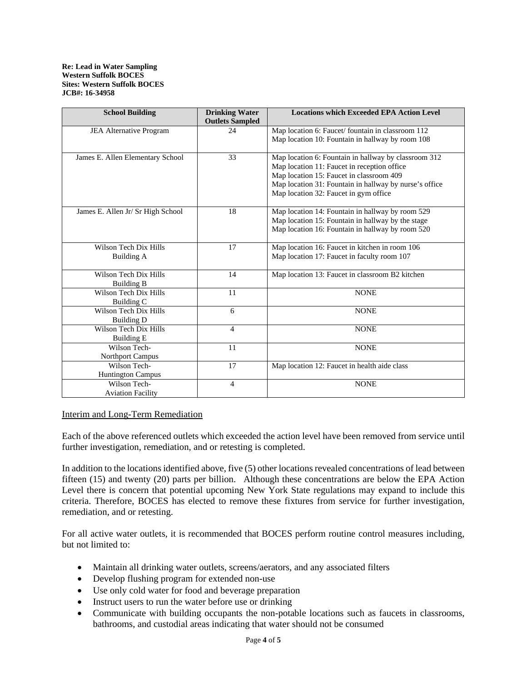| <b>School Building</b>                     | <b>Drinking Water</b><br><b>Outlets Sampled</b> | <b>Locations which Exceeded EPA Action Level</b>                                                                                                                                                                                                   |
|--------------------------------------------|-------------------------------------------------|----------------------------------------------------------------------------------------------------------------------------------------------------------------------------------------------------------------------------------------------------|
| JEA Alternative Program                    | 24                                              | Map location 6: Faucet/ fountain in classroom 112<br>Map location 10: Fountain in hallway by room 108                                                                                                                                              |
| James E. Allen Elementary School           | 33                                              | Map location 6: Fountain in hallway by classroom 312<br>Map location 11: Faucet in reception office<br>Map location 15: Faucet in classroom 409<br>Map location 31: Fountain in hallway by nurse's office<br>Map location 32: Faucet in gym office |
| James E. Allen Jr/ Sr High School          | 18                                              | Map location 14: Fountain in hallway by room 529<br>Map location 15: Fountain in hallway by the stage<br>Map location 16: Fountain in hallway by room 520                                                                                          |
| Wilson Tech Dix Hills<br><b>Building A</b> | 17                                              | Map location 16: Faucet in kitchen in room 106<br>Map location 17: Faucet in faculty room 107                                                                                                                                                      |
| Wilson Tech Dix Hills<br><b>Building B</b> | 14                                              | Map location 13: Faucet in classroom B2 kitchen                                                                                                                                                                                                    |
| Wilson Tech Dix Hills<br>Building C        | 11                                              | <b>NONE</b>                                                                                                                                                                                                                                        |
| Wilson Tech Dix Hills<br><b>Building D</b> | 6                                               | <b>NONE</b>                                                                                                                                                                                                                                        |
| Wilson Tech Dix Hills<br><b>Building E</b> | 4                                               | <b>NONE</b>                                                                                                                                                                                                                                        |
| Wilson Tech-<br><b>Northport Campus</b>    | 11                                              | <b>NONE</b>                                                                                                                                                                                                                                        |
| Wilson Tech-<br><b>Huntington Campus</b>   | 17                                              | Map location 12: Faucet in health aide class                                                                                                                                                                                                       |
| Wilson Tech-<br><b>Aviation Facility</b>   | 4                                               | <b>NONE</b>                                                                                                                                                                                                                                        |

# Interim and Long-Term Remediation

Each of the above referenced outlets which exceeded the action level have been removed from service until further investigation, remediation, and or retesting is completed.

In addition to the locations identified above, five (5) other locations revealed concentrations of lead between fifteen (15) and twenty (20) parts per billion. Although these concentrations are below the EPA Action Level there is concern that potential upcoming New York State regulations may expand to include this criteria. Therefore, BOCES has elected to remove these fixtures from service for further investigation, remediation, and or retesting.

For all active water outlets, it is recommended that BOCES perform routine control measures including, but not limited to:

- Maintain all drinking water outlets, screens/aerators, and any associated filters
- Develop flushing program for extended non-use
- Use only cold water for food and beverage preparation
- Instruct users to run the water before use or drinking
- Communicate with building occupants the non-potable locations such as faucets in classrooms, bathrooms, and custodial areas indicating that water should not be consumed